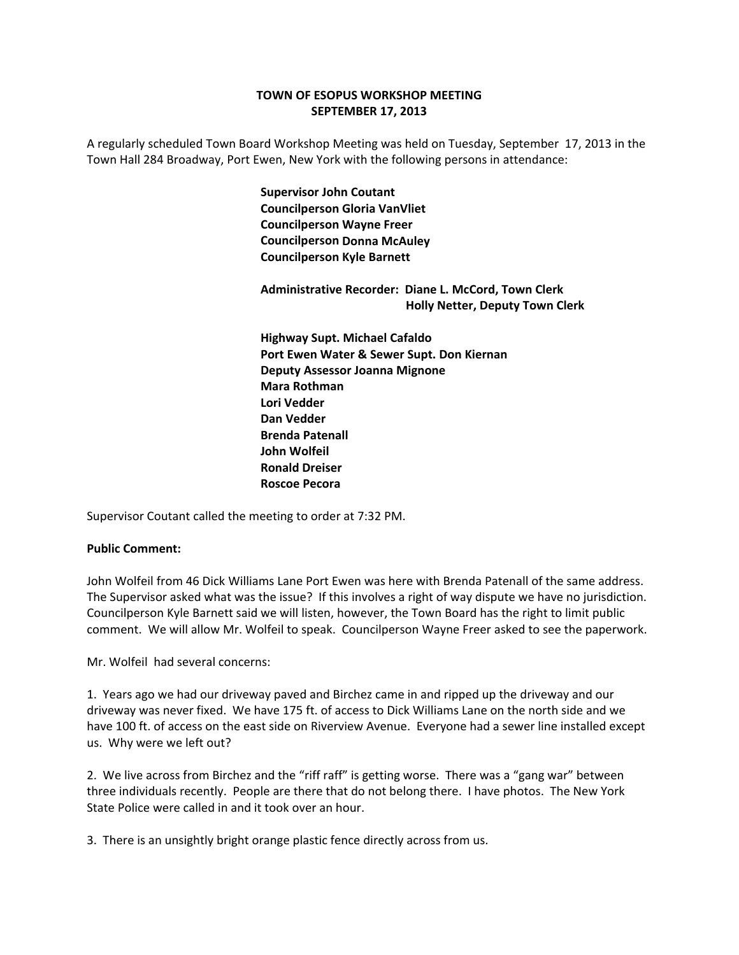## **TOWN OF ESOPUS WORKSHOP MEETING SEPTEMBER 17, 2013**

A regularly scheduled Town Board Workshop Meeting was held on Tuesday, September 17, 2013 in the Town Hall 284 Broadway, Port Ewen, New York with the following persons in attendance:

> **Supervisor John Coutant Councilperson Gloria VanVliet Councilperson Wayne Freer Councilperson Donna McAuley Councilperson Kyle Barnett**

 **Administrative Recorder: Diane L. McCord, Town Clerk Holly Netter, Deputy Town Clerk**

 **Highway Supt. Michael Cafaldo Port Ewen Water & Sewer Supt. Don Kiernan Deputy Assessor Joanna Mignone Mara Rothman Lori Vedder Dan Vedder Brenda Patenall John Wolfeil Ronald Dreiser Roscoe Pecora**

Supervisor Coutant called the meeting to order at 7:32 PM.

## **Public Comment:**

John Wolfeil from 46 Dick Williams Lane Port Ewen was here with Brenda Patenall of the same address. The Supervisor asked what was the issue? If this involves a right of way dispute we have no jurisdiction. Councilperson Kyle Barnett said we will listen, however, the Town Board has the right to limit public comment. We will allow Mr. Wolfeil to speak. Councilperson Wayne Freer asked to see the paperwork.

Mr. Wolfeil had several concerns:

1. Years ago we had our driveway paved and Birchez came in and ripped up the driveway and our driveway was never fixed. We have 175 ft. of access to Dick Williams Lane on the north side and we have 100 ft. of access on the east side on Riverview Avenue. Everyone had a sewer line installed except us. Why were we left out?

2. We live across from Birchez and the "riff raff" is getting worse. There was a "gang war" between three individuals recently. People are there that do not belong there. I have photos. The New York State Police were called in and it took over an hour.

3. There is an unsightly bright orange plastic fence directly across from us.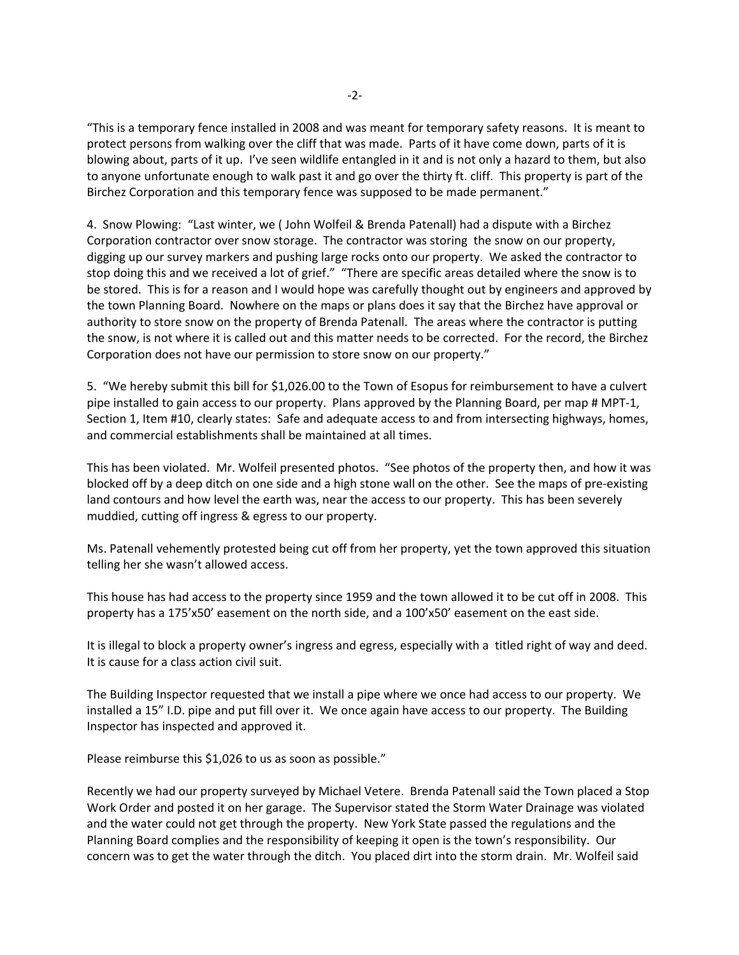"This is a temporary fence installed in 2008 and was meant for temporary safety reasons. It is meant to protect persons from walking over the cliff that was made. Parts of it have come down, parts of it is blowing about, parts of it up. I've seen wildlife entangled in it and is not only a hazard to them, but also to anyone unfortunate enough to walk past it and go over the thirty ft. cliff. This property is part of the Birchez Corporation and this temporary fence was supposed to be made permanent."

4. Snow Plowing: "Last winter, we ( John Wolfeil & Brenda Patenall) had a dispute with a Birchez Corporation contractor over snow storage. The contractor was storing the snow on our property, digging up our survey markers and pushing large rocks onto our property. We asked the contractor to stop doing this and we received a lot of grief." "There are specific areas detailed where the snow is to be stored. This is for a reason and I would hope was carefully thought out by engineers and approved by the town Planning Board. Nowhere on the maps or plans does it say that the Birchez have approval or authority to store snow on the property of Brenda Patenall. The areas where the contractor is putting the snow, is not where it is called out and this matter needs to be corrected. For the record, the Birchez Corporation does not have our permission to store snow on our property."

5. "We hereby submit this bill for \$1,026.00 to the Town of Esopus for reimbursement to have a culvert pipe installed to gain access to our property. Plans approved by the Planning Board, per map # MPT‐1, Section 1, Item #10, clearly states: Safe and adequate access to and from intersecting highways, homes, and commercial establishments shall be maintained at all times.

This has been violated. Mr. Wolfeil presented photos. "See photos of the property then, and how it was blocked off by a deep ditch on one side and a high stone wall on the other. See the maps of pre‐existing land contours and how level the earth was, near the access to our property. This has been severely muddied, cutting off ingress & egress to our property.

Ms. Patenall vehemently protested being cut off from her property, yet the town approved this situation telling her she wasn't allowed access.

This house has had access to the property since 1959 and the town allowed it to be cut off in 2008. This property has a 175'x50' easement on the north side, and a 100'x50' easement on the east side.

It is illegal to block a property owner's ingress and egress, especially with a titled right of way and deed. It is cause for a class action civil suit.

The Building Inspector requested that we install a pipe where we once had access to our property. We installed a 15" I.D. pipe and put fill over it. We once again have access to our property. The Building Inspector has inspected and approved it.

Please reimburse this \$1,026 to us as soon as possible."

Recently we had our property surveyed by Michael Vetere. Brenda Patenall said the Town placed a Stop Work Order and posted it on her garage. The Supervisor stated the Storm Water Drainage was violated and the water could not get through the property. New York State passed the regulations and the Planning Board complies and the responsibility of keeping it open is the town's responsibility. Our concern was to get the water through the ditch. You placed dirt into the storm drain. Mr. Wolfeil said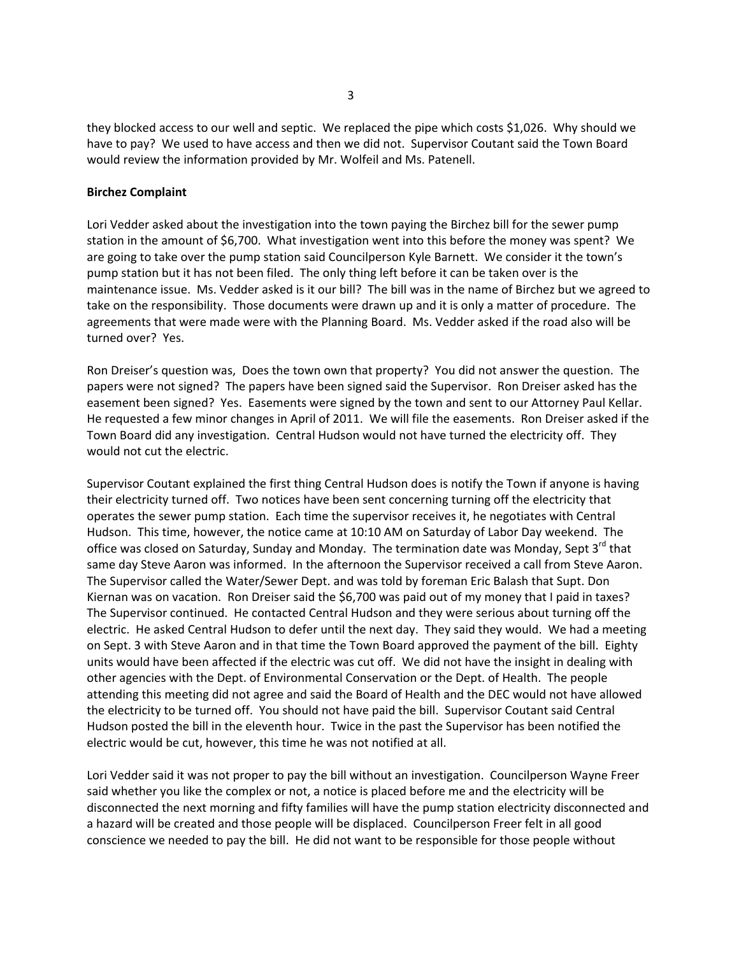they blocked access to our well and septic. We replaced the pipe which costs \$1,026. Why should we have to pay? We used to have access and then we did not. Supervisor Coutant said the Town Board would review the information provided by Mr. Wolfeil and Ms. Patenell.

#### **Birchez Complaint**

Lori Vedder asked about the investigation into the town paying the Birchez bill for the sewer pump station in the amount of \$6,700. What investigation went into this before the money was spent? We are going to take over the pump station said Councilperson Kyle Barnett. We consider it the town's pump station but it has not been filed. The only thing left before it can be taken over is the maintenance issue. Ms. Vedder asked is it our bill? The bill was in the name of Birchez but we agreed to take on the responsibility. Those documents were drawn up and it is only a matter of procedure. The agreements that were made were with the Planning Board. Ms. Vedder asked if the road also will be turned over? Yes.

Ron Dreiser's question was, Does the town own that property? You did not answer the question. The papers were not signed? The papers have been signed said the Supervisor. Ron Dreiser asked has the easement been signed? Yes. Easements were signed by the town and sent to our Attorney Paul Kellar. He requested a few minor changes in April of 2011. We will file the easements. Ron Dreiser asked if the Town Board did any investigation. Central Hudson would not have turned the electricity off. They would not cut the electric.

Supervisor Coutant explained the first thing Central Hudson does is notify the Town if anyone is having their electricity turned off. Two notices have been sent concerning turning off the electricity that operates the sewer pump station. Each time the supervisor receives it, he negotiates with Central Hudson. This time, however, the notice came at 10:10 AM on Saturday of Labor Day weekend. The office was closed on Saturday, Sunday and Monday. The termination date was Monday, Sept 3<sup>rd</sup> that same day Steve Aaron was informed. In the afternoon the Supervisor received a call from Steve Aaron. The Supervisor called the Water/Sewer Dept. and was told by foreman Eric Balash that Supt. Don Kiernan was on vacation. Ron Dreiser said the \$6,700 was paid out of my money that I paid in taxes? The Supervisor continued. He contacted Central Hudson and they were serious about turning off the electric. He asked Central Hudson to defer until the next day. They said they would. We had a meeting on Sept. 3 with Steve Aaron and in that time the Town Board approved the payment of the bill. Eighty units would have been affected if the electric was cut off. We did not have the insight in dealing with other agencies with the Dept. of Environmental Conservation or the Dept. of Health. The people attending this meeting did not agree and said the Board of Health and the DEC would not have allowed the electricity to be turned off. You should not have paid the bill. Supervisor Coutant said Central Hudson posted the bill in the eleventh hour. Twice in the past the Supervisor has been notified the electric would be cut, however, this time he was not notified at all.

Lori Vedder said it was not proper to pay the bill without an investigation. Councilperson Wayne Freer said whether you like the complex or not, a notice is placed before me and the electricity will be disconnected the next morning and fifty families will have the pump station electricity disconnected and a hazard will be created and those people will be displaced. Councilperson Freer felt in all good conscience we needed to pay the bill. He did not want to be responsible for those people without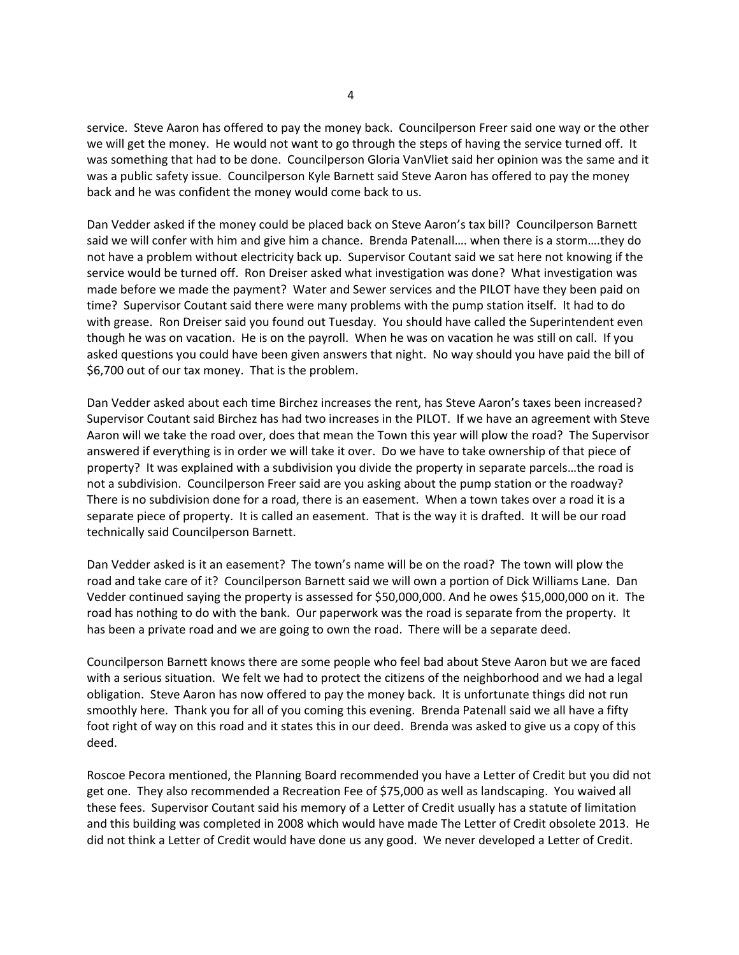service. Steve Aaron has offered to pay the money back. Councilperson Freer said one way or the other we will get the money. He would not want to go through the steps of having the service turned off. It was something that had to be done. Councilperson Gloria VanVliet said her opinion was the same and it was a public safety issue. Councilperson Kyle Barnett said Steve Aaron has offered to pay the money back and he was confident the money would come back to us.

Dan Vedder asked if the money could be placed back on Steve Aaron's tax bill? Councilperson Barnett said we will confer with him and give him a chance. Brenda Patenall…. when there is a storm….they do not have a problem without electricity back up. Supervisor Coutant said we sat here not knowing if the service would be turned off. Ron Dreiser asked what investigation was done? What investigation was made before we made the payment? Water and Sewer services and the PILOT have they been paid on time? Supervisor Coutant said there were many problems with the pump station itself. It had to do with grease. Ron Dreiser said you found out Tuesday. You should have called the Superintendent even though he was on vacation. He is on the payroll. When he was on vacation he was still on call. If you asked questions you could have been given answers that night. No way should you have paid the bill of \$6,700 out of our tax money. That is the problem.

Dan Vedder asked about each time Birchez increases the rent, has Steve Aaron's taxes been increased? Supervisor Coutant said Birchez has had two increases in the PILOT. If we have an agreement with Steve Aaron will we take the road over, does that mean the Town this year will plow the road? The Supervisor answered if everything is in order we will take it over. Do we have to take ownership of that piece of property? It was explained with a subdivision you divide the property in separate parcels…the road is not a subdivision. Councilperson Freer said are you asking about the pump station or the roadway? There is no subdivision done for a road, there is an easement. When a town takes over a road it is a separate piece of property. It is called an easement. That is the way it is drafted. It will be our road technically said Councilperson Barnett.

Dan Vedder asked is it an easement? The town's name will be on the road? The town will plow the road and take care of it? Councilperson Barnett said we will own a portion of Dick Williams Lane. Dan Vedder continued saying the property is assessed for \$50,000,000. And he owes \$15,000,000 on it. The road has nothing to do with the bank. Our paperwork was the road is separate from the property. It has been a private road and we are going to own the road. There will be a separate deed.

Councilperson Barnett knows there are some people who feel bad about Steve Aaron but we are faced with a serious situation. We felt we had to protect the citizens of the neighborhood and we had a legal obligation. Steve Aaron has now offered to pay the money back. It is unfortunate things did not run smoothly here. Thank you for all of you coming this evening. Brenda Patenall said we all have a fifty foot right of way on this road and it states this in our deed. Brenda was asked to give us a copy of this deed.

Roscoe Pecora mentioned, the Planning Board recommended you have a Letter of Credit but you did not get one. They also recommended a Recreation Fee of \$75,000 as well as landscaping. You waived all these fees. Supervisor Coutant said his memory of a Letter of Credit usually has a statute of limitation and this building was completed in 2008 which would have made The Letter of Credit obsolete 2013. He did not think a Letter of Credit would have done us any good. We never developed a Letter of Credit.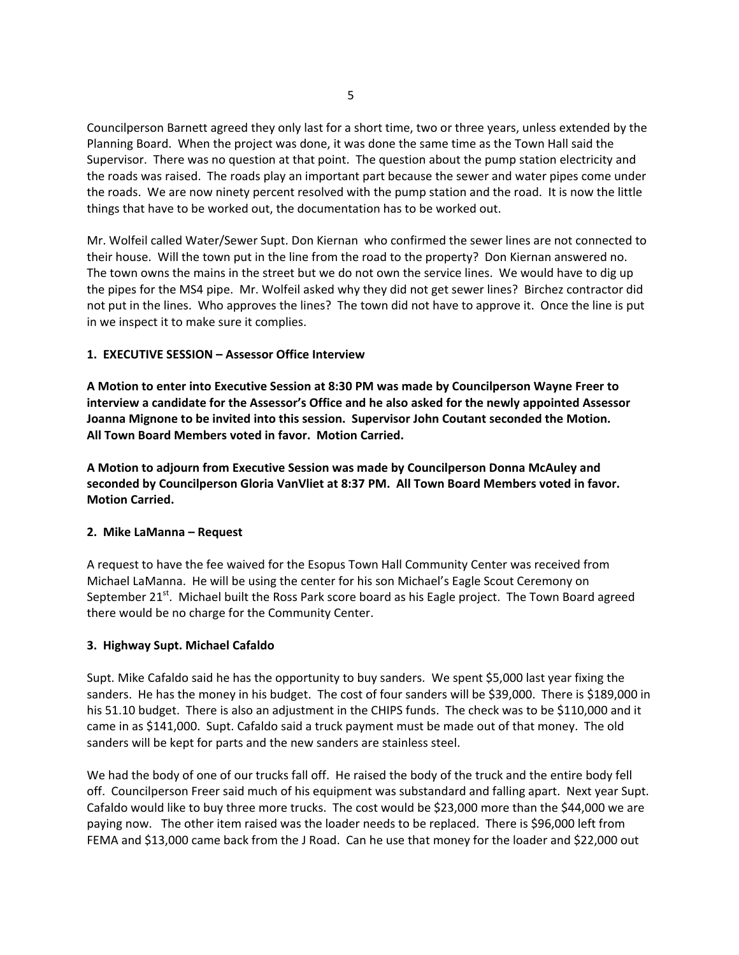Councilperson Barnett agreed they only last for a short time, two or three years, unless extended by the Planning Board. When the project was done, it was done the same time as the Town Hall said the Supervisor. There was no question at that point. The question about the pump station electricity and the roads was raised. The roads play an important part because the sewer and water pipes come under the roads. We are now ninety percent resolved with the pump station and the road. It is now the little things that have to be worked out, the documentation has to be worked out.

Mr. Wolfeil called Water/Sewer Supt. Don Kiernan who confirmed the sewer lines are not connected to their house. Will the town put in the line from the road to the property? Don Kiernan answered no. The town owns the mains in the street but we do not own the service lines. We would have to dig up the pipes for the MS4 pipe. Mr. Wolfeil asked why they did not get sewer lines? Birchez contractor did not put in the lines. Who approves the lines? The town did not have to approve it. Once the line is put in we inspect it to make sure it complies.

## **1. EXECUTIVE SESSION – Assessor Office Interview**

**A Motion to enter into Executive Session at 8:30 PM was made by Councilperson Wayne Freer to interview a candidate for the Assessor's Office and he also asked for the newly appointed Assessor Joanna Mignone to be invited into this session. Supervisor John Coutant seconded the Motion. All Town Board Members voted in favor. Motion Carried.**

**A Motion to adjourn from Executive Session was made by Councilperson Donna McAuley and seconded by Councilperson Gloria VanVliet at 8:37 PM. All Town Board Members voted in favor. Motion Carried.**

### **2. Mike LaManna – Request**

A request to have the fee waived for the Esopus Town Hall Community Center was received from Michael LaManna. He will be using the center for his son Michael's Eagle Scout Ceremony on September 21<sup>st</sup>. Michael built the Ross Park score board as his Eagle project. The Town Board agreed there would be no charge for the Community Center.

## **3. Highway Supt. Michael Cafaldo**

Supt. Mike Cafaldo said he has the opportunity to buy sanders. We spent \$5,000 last year fixing the sanders. He has the money in his budget. The cost of four sanders will be \$39,000. There is \$189,000 in his 51.10 budget. There is also an adjustment in the CHIPS funds. The check was to be \$110,000 and it came in as \$141,000. Supt. Cafaldo said a truck payment must be made out of that money. The old sanders will be kept for parts and the new sanders are stainless steel.

We had the body of one of our trucks fall off. He raised the body of the truck and the entire body fell off. Councilperson Freer said much of his equipment was substandard and falling apart. Next year Supt. Cafaldo would like to buy three more trucks. The cost would be \$23,000 more than the \$44,000 we are paying now. The other item raised was the loader needs to be replaced. There is \$96,000 left from FEMA and \$13,000 came back from the J Road. Can he use that money for the loader and \$22,000 out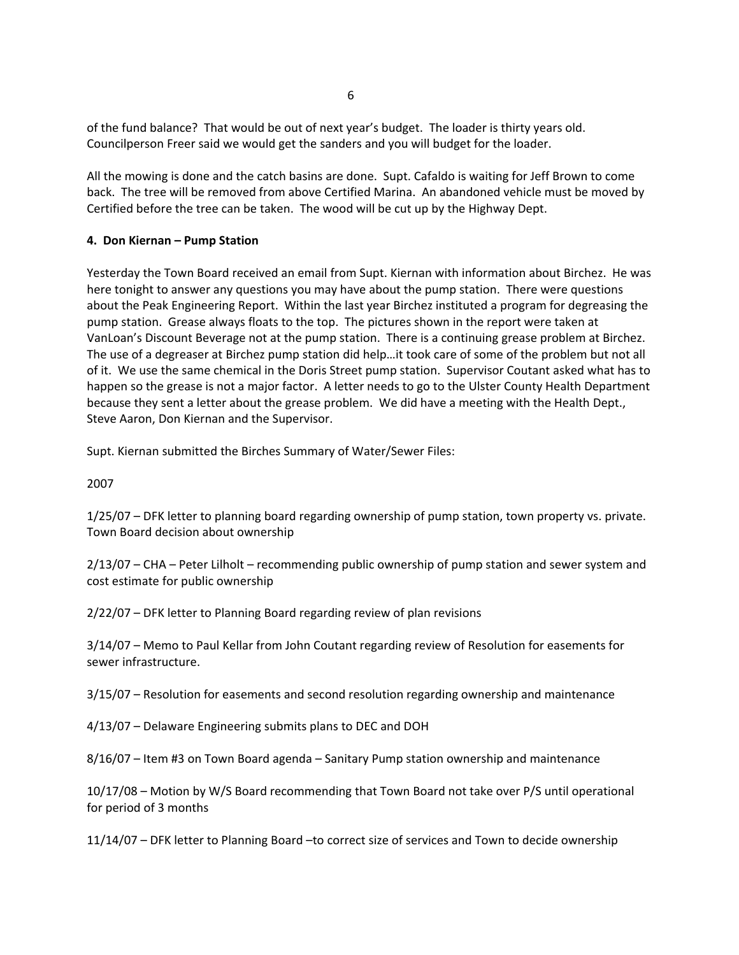of the fund balance? That would be out of next year's budget. The loader is thirty years old. Councilperson Freer said we would get the sanders and you will budget for the loader.

All the mowing is done and the catch basins are done. Supt. Cafaldo is waiting for Jeff Brown to come back. The tree will be removed from above Certified Marina. An abandoned vehicle must be moved by Certified before the tree can be taken. The wood will be cut up by the Highway Dept.

## **4. Don Kiernan – Pump Station**

Yesterday the Town Board received an email from Supt. Kiernan with information about Birchez. He was here tonight to answer any questions you may have about the pump station. There were questions about the Peak Engineering Report. Within the last year Birchez instituted a program for degreasing the pump station. Grease always floats to the top. The pictures shown in the report were taken at VanLoan's Discount Beverage not at the pump station. There is a continuing grease problem at Birchez. The use of a degreaser at Birchez pump station did help…it took care of some of the problem but not all of it. We use the same chemical in the Doris Street pump station. Supervisor Coutant asked what has to happen so the grease is not a major factor. A letter needs to go to the Ulster County Health Department because they sent a letter about the grease problem. We did have a meeting with the Health Dept., Steve Aaron, Don Kiernan and the Supervisor.

Supt. Kiernan submitted the Birches Summary of Water/Sewer Files:

2007

1/25/07 – DFK letter to planning board regarding ownership of pump station, town property vs. private. Town Board decision about ownership

2/13/07 – CHA – Peter Lilholt – recommending public ownership of pump station and sewer system and cost estimate for public ownership

2/22/07 – DFK letter to Planning Board regarding review of plan revisions

3/14/07 – Memo to Paul Kellar from John Coutant regarding review of Resolution for easements for sewer infrastructure.

3/15/07 – Resolution for easements and second resolution regarding ownership and maintenance

4/13/07 – Delaware Engineering submits plans to DEC and DOH

8/16/07 – Item #3 on Town Board agenda – Sanitary Pump station ownership and maintenance

10/17/08 – Motion by W/S Board recommending that Town Board not take over P/S until operational for period of 3 months

11/14/07 – DFK letter to Planning Board –to correct size of services and Town to decide ownership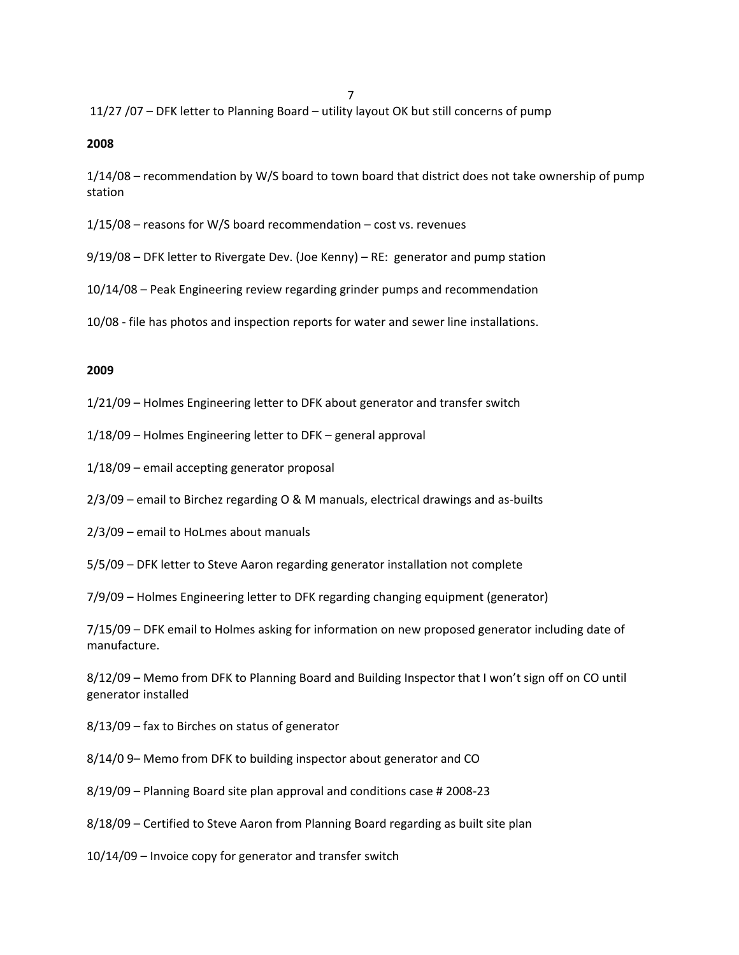ли в село в село во село во село во село во село во село во село во село во село во село во село во село во се<br>27 феврално во село во село во село во село во село во село во село во село во село во село во село во село во 11/27 /07 – DFK letter to Planning Board – utility layout OK but still concerns of pump

**2008**

1/14/08 – recommendation by W/S board to town board that district does not take ownership of pump station

1/15/08 – reasons for W/S board recommendation – cost vs. revenues

9/19/08 – DFK letter to Rivergate Dev. (Joe Kenny) – RE: generator and pump station

10/14/08 – Peak Engineering review regarding grinder pumps and recommendation

10/08 ‐ file has photos and inspection reports for water and sewer line installations.

#### **2009**

1/21/09 – Holmes Engineering letter to DFK about generator and transfer switch

1/18/09 – Holmes Engineering letter to DFK – general approval

1/18/09 – email accepting generator proposal

2/3/09 – email to Birchez regarding O & M manuals, electrical drawings and as‐builts

2/3/09 – email to HoLmes about manuals

5/5/09 – DFK letter to Steve Aaron regarding generator installation not complete

7/9/09 – Holmes Engineering letter to DFK regarding changing equipment (generator)

7/15/09 – DFK email to Holmes asking for information on new proposed generator including date of manufacture.

8/12/09 – Memo from DFK to Planning Board and Building Inspector that I won't sign off on CO until generator installed

8/13/09 – fax to Birches on status of generator

8/14/0 9– Memo from DFK to building inspector about generator and CO

8/19/09 – Planning Board site plan approval and conditions case # 2008‐23

8/18/09 – Certified to Steve Aaron from Planning Board regarding as built site plan

10/14/09 – Invoice copy for generator and transfer switch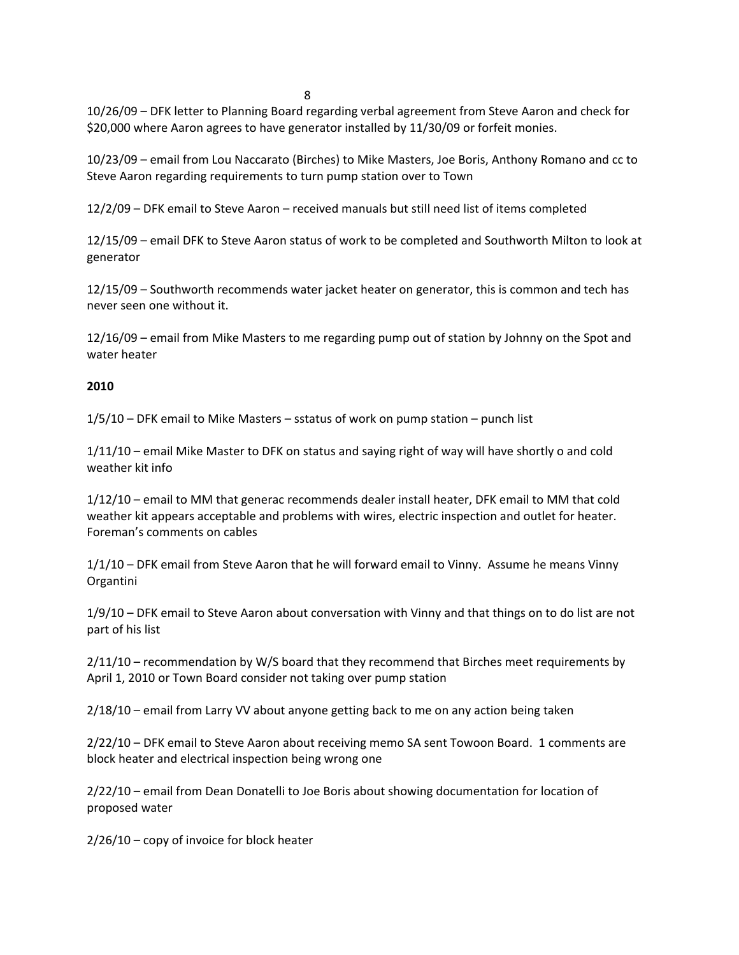8 | 1992 | 1993 | 1994 | 1995 | 1996 | 1997 | 1998 | 1999 | 1999 | 1999 | 1999 | 1999 | 1999 | 1999 | 1999 | 1

10/26/09 – DFK letter to Planning Board regarding verbal agreement from Steve Aaron and check for \$20,000 where Aaron agrees to have generator installed by 11/30/09 or forfeit monies.

10/23/09 – email from Lou Naccarato (Birches) to Mike Masters, Joe Boris, Anthony Romano and cc to Steve Aaron regarding requirements to turn pump station over to Town

12/2/09 – DFK email to Steve Aaron – received manuals but still need list of items completed

12/15/09 – email DFK to Steve Aaron status of work to be completed and Southworth Milton to look at generator

12/15/09 – Southworth recommends water jacket heater on generator, this is common and tech has never seen one without it.

12/16/09 – email from Mike Masters to me regarding pump out of station by Johnny on the Spot and water heater

## **2010**

1/5/10 – DFK email to Mike Masters – sstatus of work on pump station – punch list

1/11/10 – email Mike Master to DFK on status and saying right of way will have shortly o and cold weather kit info

1/12/10 – email to MM that generac recommends dealer install heater, DFK email to MM that cold weather kit appears acceptable and problems with wires, electric inspection and outlet for heater. Foreman's comments on cables

1/1/10 – DFK email from Steve Aaron that he will forward email to Vinny. Assume he means Vinny Organtini

1/9/10 – DFK email to Steve Aaron about conversation with Vinny and that things on to do list are not part of his list

2/11/10 – recommendation by W/S board that they recommend that Birches meet requirements by April 1, 2010 or Town Board consider not taking over pump station

2/18/10 – email from Larry VV about anyone getting back to me on any action being taken

2/22/10 – DFK email to Steve Aaron about receiving memo SA sent Towoon Board. 1 comments are block heater and electrical inspection being wrong one

2/22/10 – email from Dean Donatelli to Joe Boris about showing documentation for location of proposed water

2/26/10 – copy of invoice for block heater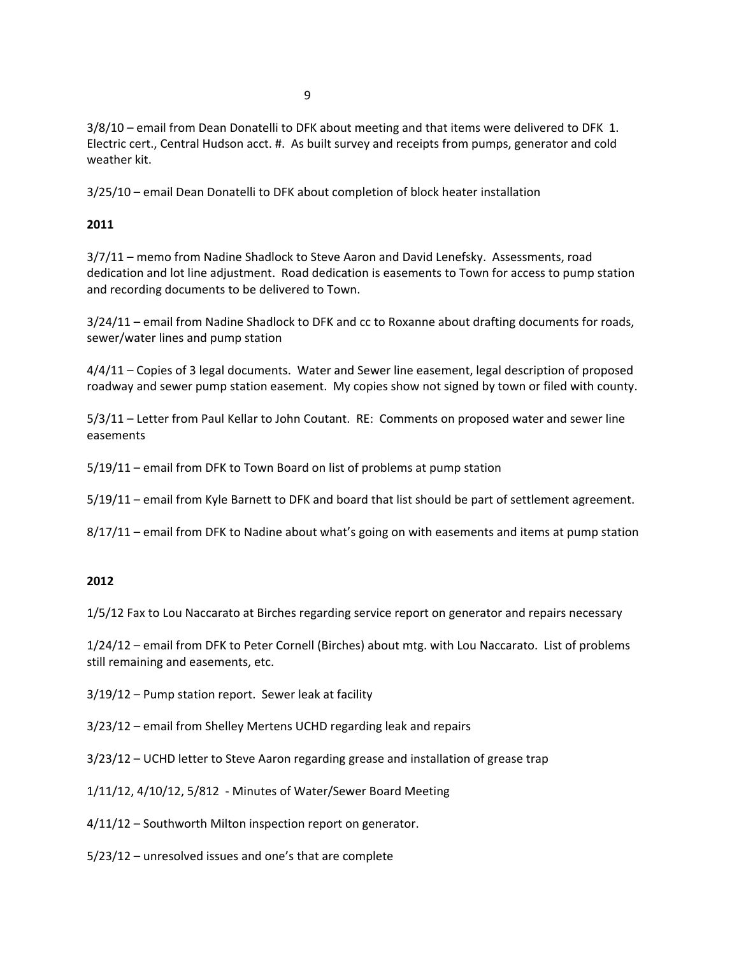3/8/10 – email from Dean Donatelli to DFK about meeting and that items were delivered to DFK 1. Electric cert., Central Hudson acct. #. As built survey and receipts from pumps, generator and cold weather kit.

3/25/10 – email Dean Donatelli to DFK about completion of block heater installation

## **2011**

3/7/11 – memo from Nadine Shadlock to Steve Aaron and David Lenefsky. Assessments, road dedication and lot line adjustment. Road dedication is easements to Town for access to pump station and recording documents to be delivered to Town.

3/24/11 – email from Nadine Shadlock to DFK and cc to Roxanne about drafting documents for roads, sewer/water lines and pump station

4/4/11 – Copies of 3 legal documents. Water and Sewer line easement, legal description of proposed roadway and sewer pump station easement. My copies show not signed by town or filed with county.

5/3/11 – Letter from Paul Kellar to John Coutant. RE: Comments on proposed water and sewer line easements

5/19/11 – email from DFK to Town Board on list of problems at pump station

5/19/11 – email from Kyle Barnett to DFK and board that list should be part of settlement agreement.

8/17/11 – email from DFK to Nadine about what's going on with easements and items at pump station

# **2012**

1/5/12 Fax to Lou Naccarato at Birches regarding service report on generator and repairs necessary

1/24/12 – email from DFK to Peter Cornell (Birches) about mtg. with Lou Naccarato. List of problems still remaining and easements, etc.

- 3/19/12 Pump station report. Sewer leak at facility
- 3/23/12 email from Shelley Mertens UCHD regarding leak and repairs
- 3/23/12 UCHD letter to Steve Aaron regarding grease and installation of grease trap

1/11/12, 4/10/12, 5/812 ‐ Minutes of Water/Sewer Board Meeting

4/11/12 – Southworth Milton inspection report on generator.

5/23/12 – unresolved issues and one's that are complete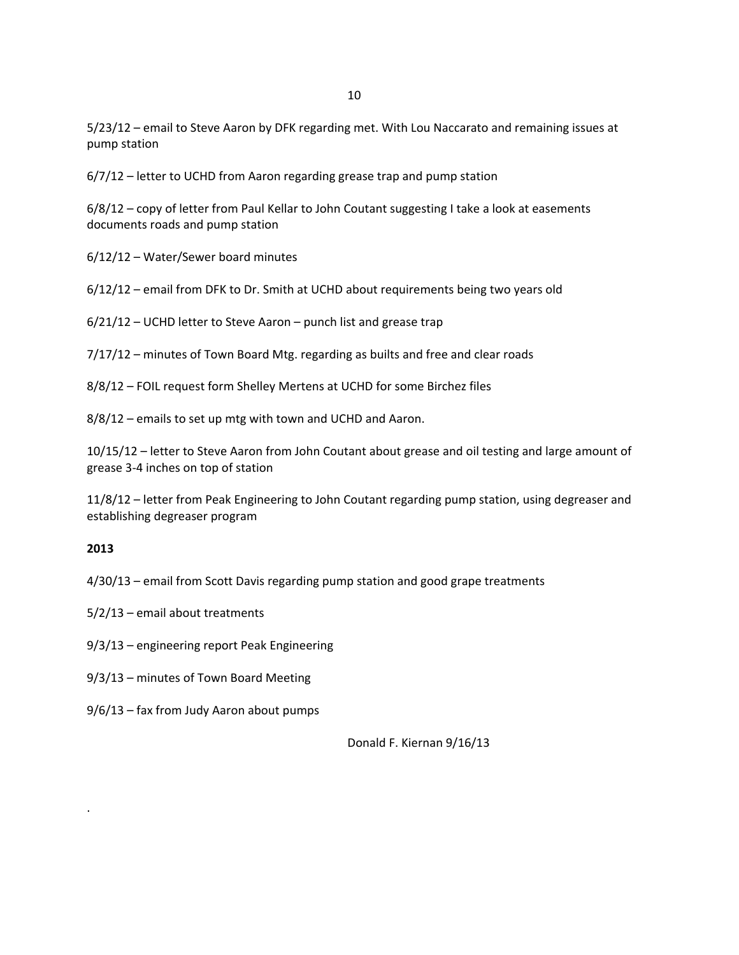5/23/12 – email to Steve Aaron by DFK regarding met. With Lou Naccarato and remaining issues at pump station

6/7/12 – letter to UCHD from Aaron regarding grease trap and pump station

6/8/12 – copy of letter from Paul Kellar to John Coutant suggesting I take a look at easements documents roads and pump station

6/12/12 – Water/Sewer board minutes

6/12/12 – email from DFK to Dr. Smith at UCHD about requirements being two years old

6/21/12 – UCHD letter to Steve Aaron – punch list and grease trap

7/17/12 – minutes of Town Board Mtg. regarding as builts and free and clear roads

8/8/12 – FOIL request form Shelley Mertens at UCHD for some Birchez files

8/8/12 – emails to set up mtg with town and UCHD and Aaron.

10/15/12 – letter to Steve Aaron from John Coutant about grease and oil testing and large amount of grease 3‐4 inches on top of station

11/8/12 – letter from Peak Engineering to John Coutant regarding pump station, using degreaser and establishing degreaser program

### **2013**

.

4/30/13 – email from Scott Davis regarding pump station and good grape treatments

- 5/2/13 email about treatments
- 9/3/13 engineering report Peak Engineering
- 9/3/13 minutes of Town Board Meeting
- 9/6/13 fax from Judy Aaron about pumps

Donald F. Kiernan 9/16/13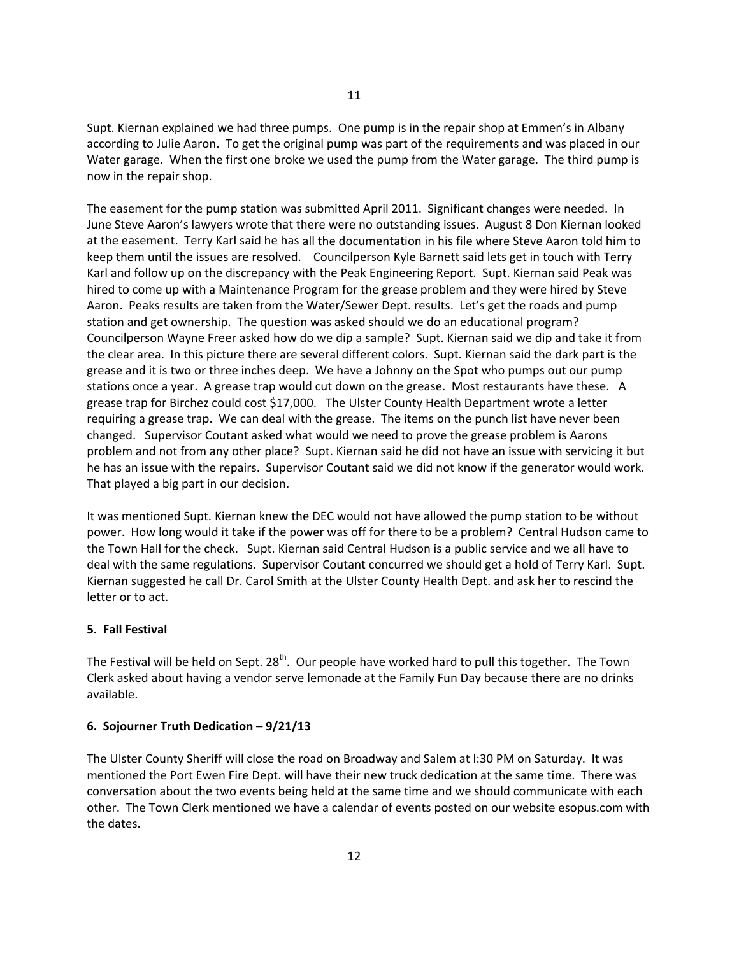Supt. Kiernan explained we had three pumps. One pump is in the repair shop at Emmen's in Albany according to Julie Aaron. To get the original pump was part of the requirements and was placed in our Water garage. When the first one broke we used the pump from the Water garage. The third pump is now in the repair shop.

The easement for the pump station was submitted April 2011. Significant changes were needed. In June Steve Aaron's lawyers wrote that there were no outstanding issues. August 8 Don Kiernan looked at the easement. Terry Karl said he has all the documentation in his file where Steve Aaron told him to keep them until the issues are resolved. Councilperson Kyle Barnett said lets get in touch with Terry Karl and follow up on the discrepancy with the Peak Engineering Report. Supt. Kiernan said Peak was hired to come up with a Maintenance Program for the grease problem and they were hired by Steve Aaron. Peaks results are taken from the Water/Sewer Dept. results. Let's get the roads and pump station and get ownership. The question was asked should we do an educational program? Councilperson Wayne Freer asked how do we dip a sample? Supt. Kiernan said we dip and take it from the clear area. In this picture there are several different colors. Supt. Kiernan said the dark part is the grease and it is two or three inches deep. We have a Johnny on the Spot who pumps out our pump stations once a year. A grease trap would cut down on the grease. Most restaurants have these. A grease trap for Birchez could cost \$17,000. The Ulster County Health Department wrote a letter requiring a grease trap. We can deal with the grease. The items on the punch list have never been changed. Supervisor Coutant asked what would we need to prove the grease problem is Aarons problem and not from any other place? Supt. Kiernan said he did not have an issue with servicing it but he has an issue with the repairs. Supervisor Coutant said we did not know if the generator would work. That played a big part in our decision.

It was mentioned Supt. Kiernan knew the DEC would not have allowed the pump station to be without power. How long would it take if the power was off for there to be a problem? Central Hudson came to the Town Hall for the check. Supt. Kiernan said Central Hudson is a public service and we all have to deal with the same regulations. Supervisor Coutant concurred we should get a hold of Terry Karl. Supt. Kiernan suggested he call Dr. Carol Smith at the Ulster County Health Dept. and ask her to rescind the letter or to act.

### **5. Fall Festival**

The Festival will be held on Sept. 28<sup>th</sup>. Our people have worked hard to pull this together. The Town Clerk asked about having a vendor serve lemonade at the Family Fun Day because there are no drinks available.

### **6. Sojourner Truth Dedication – 9/21/13**

The Ulster County Sheriff will close the road on Broadway and Salem at l:30 PM on Saturday. It was mentioned the Port Ewen Fire Dept. will have their new truck dedication at the same time. There was conversation about the two events being held at the same time and we should communicate with each other. The Town Clerk mentioned we have a calendar of events posted on our website esopus.com with the dates.